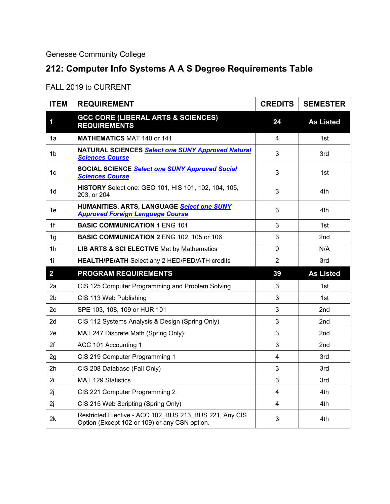Genesee Community College

## **212: Computer Info Systems A A S Degree Requirements Table**

## FALL 2019 to CURRENT

| <b>ITEM</b>    | <b>REQUIREMENT</b>                                                                                        | <b>CREDITS</b> | <b>SEMESTER</b>  |
|----------------|-----------------------------------------------------------------------------------------------------------|----------------|------------------|
| 1              | <b>GCC CORE (LIBERAL ARTS &amp; SCIENCES)</b><br><b>REQUIREMENTS</b>                                      | 24             | <b>As Listed</b> |
| 1a             | <b>MATHEMATICS MAT 140 or 141</b>                                                                         | 4              | 1st              |
| 1b             | <b>NATURAL SCIENCES Select one SUNY Approved Natural</b><br><b>Sciences Course</b>                        | 3              | 3rd              |
| 1c             | <b>SOCIAL SCIENCE Select one SUNY Approved Social</b><br><b>Sciences Course</b>                           | 3              | 1st              |
| 1d             | HISTORY Select one: GEO 101, HIS 101, 102, 104, 105,<br>203, or 204                                       | 3              | 4th              |
| 1e             | HUMANITIES, ARTS, LANGUAGE Select one SUNY<br><b>Approved Foreign Language Course</b>                     | 3              | 4th              |
| 1f             | <b>BASIC COMMUNICATION 1 ENG 101</b>                                                                      | 3              | 1st              |
| 1 <sub>g</sub> | <b>BASIC COMMUNICATION 2 ENG 102, 105 or 106</b>                                                          | 3              | 2nd              |
| 1 <sub>h</sub> | <b>LIB ARTS &amp; SCI ELECTIVE Met by Mathematics</b>                                                     | 0              | N/A              |
| 11             | <b>HEALTH/PE/ATH</b> Select any 2 HED/PED/ATH credits                                                     | $\overline{2}$ | 3rd              |
| $\overline{2}$ | <b>PROGRAM REQUIREMENTS</b>                                                                               | 39             | <b>As Listed</b> |
| 2a             | CIS 125 Computer Programming and Problem Solving                                                          | 3              | 1st              |
| 2b             | CIS 113 Web Publishing                                                                                    | 3              | 1st              |
| 2c             | SPE 103, 108, 109 or HUR 101                                                                              | 3              | 2nd              |
| 2d             | CIS 112 Systems Analysis & Design (Spring Only)                                                           | 3              | 2nd              |
| 2e             | MAT 247 Discrete Math (Spring Only)                                                                       | 3              | 2nd              |
| 2f             | ACC 101 Accounting 1                                                                                      | 3              | 2nd              |
| 2g             | CIS 219 Computer Programming 1                                                                            | 4              | 3rd              |
| 2 <sub>h</sub> | CIS 208 Database (Fall Only)                                                                              | 3              | 3rd              |
| 2i             | <b>MAT 129 Statistics</b>                                                                                 | 3              | 3rd              |
| 2j             | CIS 221 Computer Programming 2                                                                            | 4              | 4th              |
| 2j             | CIS 215 Web Scripting (Spring Only)                                                                       | 4              | 4th              |
| 2k             | Restricted Elective - ACC 102, BUS 213, BUS 221, Any CIS<br>Option (Except 102 or 109) or any CSN option. | 3              | 4th              |